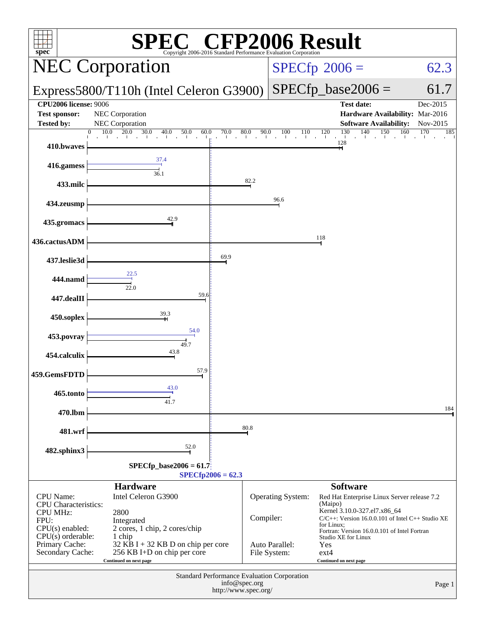| $spec^*$                                                                    |                                                                                                       |                                                                                      | <b>P2006 Result</b><br>Copyright 2006-2016 Standard Performance Evaluation Corporation |                                                                                                                                                |                      |
|-----------------------------------------------------------------------------|-------------------------------------------------------------------------------------------------------|--------------------------------------------------------------------------------------|----------------------------------------------------------------------------------------|------------------------------------------------------------------------------------------------------------------------------------------------|----------------------|
|                                                                             | <b>NEC Corporation</b>                                                                                |                                                                                      |                                                                                        | $SPECfp^{\circ}2006 =$                                                                                                                         | 62.3                 |
|                                                                             | Express5800/T110h (Intel Celeron G3900)                                                               |                                                                                      |                                                                                        | $SPECfp\_base2006 =$                                                                                                                           | 61.7                 |
| <b>CPU2006 license: 9006</b><br><b>Test sponsor:</b><br><b>Tested by:</b>   | NEC Corporation<br>NEC Corporation                                                                    |                                                                                      |                                                                                        | <b>Test date:</b><br>Hardware Availability: Mar-2016<br><b>Software Availability:</b>                                                          | Dec-2015<br>Nov-2015 |
| 410.bwaves                                                                  | 10.0<br>20.0<br>30.0<br>40.0<br>50.0<br>60.0<br>$\mathcal{A}^{\mathcal{A}}$<br>all the car            | $\frac{70.0}{1}$<br>$80.0\,$<br>$\mathbf{I}$<br>$\sim 10$<br>$\sim$                  | 90.0<br>100<br>110<br>$\blacksquare$<br>$\mathbf{L}$<br>$\sim 10^{-11}$                | $\frac{130}{1}$<br>140<br>150<br>160<br>120<br>and the contract<br>128                                                                         | 170<br>185           |
| 416.gamess                                                                  | 37.4<br>36.1                                                                                          |                                                                                      |                                                                                        |                                                                                                                                                |                      |
| 433.milc                                                                    |                                                                                                       | 82.2                                                                                 |                                                                                        |                                                                                                                                                |                      |
| 434.zeusmp                                                                  |                                                                                                       |                                                                                      | 96.6                                                                                   |                                                                                                                                                |                      |
| 435.gromacs                                                                 | 42.9                                                                                                  |                                                                                      |                                                                                        |                                                                                                                                                |                      |
| 436.cactusADM                                                               |                                                                                                       | 69.9                                                                                 |                                                                                        | 118                                                                                                                                            |                      |
| 437.leslie3d                                                                | 22.5                                                                                                  |                                                                                      |                                                                                        |                                                                                                                                                |                      |
| 444.namd                                                                    | 22.0<br>59.6                                                                                          |                                                                                      |                                                                                        |                                                                                                                                                |                      |
| 447.dealII                                                                  | 39.3                                                                                                  |                                                                                      |                                                                                        |                                                                                                                                                |                      |
| 450.soplex<br>453.povray                                                    | 54.0                                                                                                  |                                                                                      |                                                                                        |                                                                                                                                                |                      |
| 454.calculix                                                                | 49.7<br>43.8                                                                                          |                                                                                      |                                                                                        |                                                                                                                                                |                      |
| 459.GemsFDTD                                                                | 57.9                                                                                                  |                                                                                      |                                                                                        |                                                                                                                                                |                      |
| 465.tonto                                                                   | 43.0                                                                                                  |                                                                                      |                                                                                        |                                                                                                                                                |                      |
| 470.lbm                                                                     | 41.7                                                                                                  |                                                                                      |                                                                                        |                                                                                                                                                | 184                  |
| 481.wrf                                                                     |                                                                                                       | 80.8                                                                                 |                                                                                        |                                                                                                                                                |                      |
| 482.sphinx3                                                                 | 52.0                                                                                                  |                                                                                      |                                                                                        |                                                                                                                                                |                      |
|                                                                             | $SPECfp\_base2006 = 61.7$                                                                             | $SPECfp2006 = 62.3$                                                                  |                                                                                        |                                                                                                                                                |                      |
| <b>CPU</b> Name:                                                            | <b>Hardware</b><br>Intel Celeron G3900                                                                |                                                                                      | Operating System:                                                                      | <b>Software</b><br>Red Hat Enterprise Linux Server release 7.2<br>(Maipo)                                                                      |                      |
| <b>CPU</b> Characteristics:<br><b>CPU MHz:</b><br>FPU:<br>$CPU(s)$ enabled: | 2800<br>Integrated<br>2 cores, 1 chip, 2 cores/chip                                                   |                                                                                      | Compiler:                                                                              | Kernel 3.10.0-327.el7.x86_64<br>C/C++: Version 16.0.0.101 of Intel C++ Studio XE<br>for Linux;<br>Fortran: Version 16.0.0.101 of Intel Fortran |                      |
| $CPU(s)$ orderable:<br>Primary Cache:<br>Secondary Cache:                   | 1 chip<br>32 KB I + 32 KB D on chip per core<br>256 KB I+D on chip per core<br>Continued on next page |                                                                                      | Auto Parallel:<br>File System:                                                         | Studio XE for Linux<br>Yes<br>$ext{4}$<br>Continued on next page                                                                               |                      |
|                                                                             |                                                                                                       | Standard Performance Evaluation Corporation<br>info@spec.org<br>http://www.spec.org/ |                                                                                        |                                                                                                                                                | Page 1               |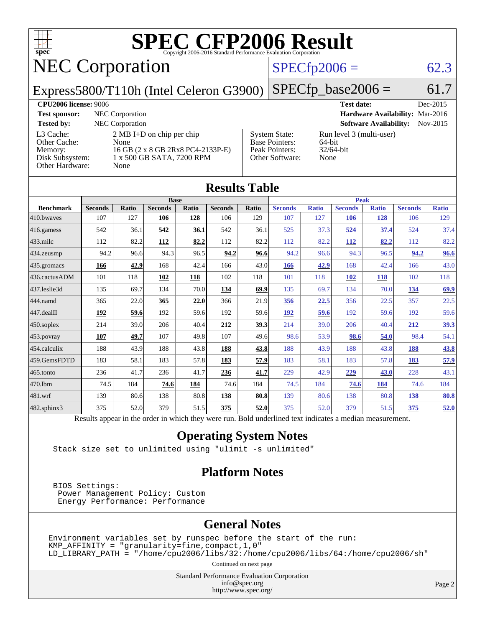

# **[SPEC CFP2006 Result](http://www.spec.org/auto/cpu2006/Docs/result-fields.html#SPECCFP2006Result)**

## NEC Corporation

[L3 Cache:](http://www.spec.org/auto/cpu2006/Docs/result-fields.html#L3Cache) 2 MB I+D on chip per chip

[Memory:](http://www.spec.org/auto/cpu2006/Docs/result-fields.html#Memory) 16 GB (2 x 8 GB 2Rx8 PC4-2133P-E) [Disk Subsystem:](http://www.spec.org/auto/cpu2006/Docs/result-fields.html#DiskSubsystem) 1 x 500 GB SATA, 7200 RPM

### $SPECTp2006 = 62.3$

[Other Software:](http://www.spec.org/auto/cpu2006/Docs/result-fields.html#OtherSoftware) None

Express5800/T110h (Intel Celeron G3900)

[Other Hardware:](http://www.spec.org/auto/cpu2006/Docs/result-fields.html#OtherHardware) None

[Other Cache:](http://www.spec.org/auto/cpu2006/Docs/result-fields.html#OtherCache)

 $SPECfp\_base2006 = 61.7$ **[CPU2006 license:](http://www.spec.org/auto/cpu2006/Docs/result-fields.html#CPU2006license)** 9006 **[Test date:](http://www.spec.org/auto/cpu2006/Docs/result-fields.html#Testdate)** Dec-2015 **[Test sponsor:](http://www.spec.org/auto/cpu2006/Docs/result-fields.html#Testsponsor)** NEC Corporation **[Hardware Availability:](http://www.spec.org/auto/cpu2006/Docs/result-fields.html#HardwareAvailability)** Mar-2016 **[Tested by:](http://www.spec.org/auto/cpu2006/Docs/result-fields.html#Testedby)** NEC Corporation **[Software Availability:](http://www.spec.org/auto/cpu2006/Docs/result-fields.html#SoftwareAvailability)** Nov-2015 [System State:](http://www.spec.org/auto/cpu2006/Docs/result-fields.html#SystemState) Run level 3 (multi-user)<br>Base Pointers: 64-bit [Base Pointers:](http://www.spec.org/auto/cpu2006/Docs/result-fields.html#BasePointers) 64-bit<br>Peak Pointers: 32/64-bit [Peak Pointers:](http://www.spec.org/auto/cpu2006/Docs/result-fields.html#PeakPointers)

|                  |                                                                                                          |              |                |       | <b>Results Table</b> |       |                |              |                |              |                |              |
|------------------|----------------------------------------------------------------------------------------------------------|--------------|----------------|-------|----------------------|-------|----------------|--------------|----------------|--------------|----------------|--------------|
|                  | <b>Base</b>                                                                                              |              |                |       | <b>Peak</b>          |       |                |              |                |              |                |              |
| <b>Benchmark</b> | <b>Seconds</b>                                                                                           | <b>Ratio</b> | <b>Seconds</b> | Ratio | <b>Seconds</b>       | Ratio | <b>Seconds</b> | <b>Ratio</b> | <b>Seconds</b> | <b>Ratio</b> | <b>Seconds</b> | <b>Ratio</b> |
| 410.bwayes       | 107                                                                                                      | 127          | 106            | 128   | 106                  | 129   | 107            | 127          | 106            | 128          | 106            | 129          |
| 416.gamess       | 542                                                                                                      | 36.1         | 542            | 36.1  | 542                  | 36.1  | 525            | 37.3         | 524            | 37.4         | 524            | 37.4         |
| 433.milc         | 112                                                                                                      | 82.2         | <b>112</b>     | 82.2  | 112                  | 82.2  | 112            | 82.2         | <b>112</b>     | 82.2         | 112            | 82.2         |
| 434.zeusmp       | 94.2                                                                                                     | 96.6         | 94.3           | 96.5  | 94.2                 | 96.6  | 94.2           | 96.6         | 94.3           | 96.5         | 94.2           | 96.6         |
| 435.gromacs      | 166                                                                                                      | 42.9         | 168            | 42.4  | 166                  | 43.0  | <b>166</b>     | 42.9         | 168            | 42.4         | 166            | 43.0         |
| 436.cactusADM    | 101                                                                                                      | 118          | 102            | 118   | 102                  | 118   | 101            | 118          | <b>102</b>     | 118          | 102            | 118          |
| 437.leslie3d     | 135                                                                                                      | 69.7         | 134            | 70.0  | 134                  | 69.9  | 135            | 69.7         | 134            | 70.0         | 134            | 69.9         |
| 444.namd         | 365                                                                                                      | 22.0         | 365            | 22.0  | 366                  | 21.9  | 356            | 22.5         | 356            | 22.5         | 357            | 22.5         |
| 447.dealII       | 192                                                                                                      | 59.6         | 192            | 59.6  | 192                  | 59.6  | 192            | 59.6         | 192            | 59.6         | 192            | 59.6         |
| 450.soplex       | 214                                                                                                      | 39.0         | 206            | 40.4  | 212                  | 39.3  | 214            | 39.0         | 206            | 40.4         | 212            | <u>39.3</u>  |
| 453.povray       | 107                                                                                                      | 49.7         | 107            | 49.8  | 107                  | 49.6  | 98.6           | 53.9         | 98.6           | 54.0         | 98.4           | 54.1         |
| 454.calculix     | 188                                                                                                      | 43.9         | 188            | 43.8  | 188                  | 43.8  | 188            | 43.9         | 188            | 43.8         | 188            | 43.8         |
| 459.GemsFDTD     | 183                                                                                                      | 58.1         | 183            | 57.8  | 183                  | 57.9  | 183            | 58.1         | 183            | 57.8         | 183            | 57.9         |
| 465.tonto        | 236                                                                                                      | 41.7         | 236            | 41.7  | 236                  | 41.7  | 229            | 42.9         | 229            | 43.0         | 228            | 43.1         |
| 470.1bm          | 74.5                                                                                                     | 184          | 74.6           | 184   | 74.6                 | 184   | 74.5           | 184          | 74.6           | 184          | 74.6           | 184          |
| 481.wrf          | 139                                                                                                      | 80.6         | 138            | 80.8  | 138                  | 80.8  | 139            | 80.6         | 138            | 80.8         | 138            | <b>80.8</b>  |
| 482.sphinx3      | 375                                                                                                      | 52.0         | 379            | 51.5  | 375                  | 52.0  | 375            | 52.0         | 379            | 51.5         | 375            | 52.0         |
|                  | Results appear in the order in which they were run. Bold underlined text indicates a median measurement. |              |                |       |                      |       |                |              |                |              |                |              |

#### **[Operating System Notes](http://www.spec.org/auto/cpu2006/Docs/result-fields.html#OperatingSystemNotes)**

Stack size set to unlimited using "ulimit -s unlimited"

#### **[Platform Notes](http://www.spec.org/auto/cpu2006/Docs/result-fields.html#PlatformNotes)**

 BIOS Settings: Power Management Policy: Custom Energy Performance: Performance

#### **[General Notes](http://www.spec.org/auto/cpu2006/Docs/result-fields.html#GeneralNotes)**

Environment variables set by runspec before the start of the run: KMP\_AFFINITY = "granularity=fine,compact,1,0" LD\_LIBRARY\_PATH = "/home/cpu2006/libs/32:/home/cpu2006/libs/64:/home/cpu2006/sh"

Continued on next page

Standard Performance Evaluation Corporation [info@spec.org](mailto:info@spec.org) <http://www.spec.org/>

Page 2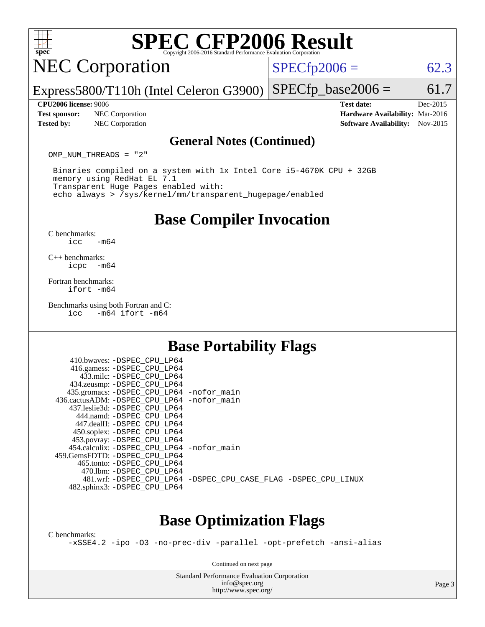# **[SPEC CFP2006 Result](http://www.spec.org/auto/cpu2006/Docs/result-fields.html#SPECCFP2006Result)**

### NEC Corporation

 $SPECTp2006 = 62.3$ 

Express5800/T110h (Intel Celeron G3900)  $SPECfp\_base2006 = 61.7$ 

**[Test sponsor:](http://www.spec.org/auto/cpu2006/Docs/result-fields.html#Testsponsor)** NEC Corporation **[Hardware Availability:](http://www.spec.org/auto/cpu2006/Docs/result-fields.html#HardwareAvailability)** Mar-2016 **[Tested by:](http://www.spec.org/auto/cpu2006/Docs/result-fields.html#Testedby)** NEC Corporation **[Software Availability:](http://www.spec.org/auto/cpu2006/Docs/result-fields.html#SoftwareAvailability)** Nov-2015

**[CPU2006 license:](http://www.spec.org/auto/cpu2006/Docs/result-fields.html#CPU2006license)** 9006 **[Test date:](http://www.spec.org/auto/cpu2006/Docs/result-fields.html#Testdate)** Dec-2015

#### **[General Notes \(Continued\)](http://www.spec.org/auto/cpu2006/Docs/result-fields.html#GeneralNotes)**

OMP NUM THREADS = "2"

 Binaries compiled on a system with 1x Intel Core i5-4670K CPU + 32GB memory using RedHat EL 7.1 Transparent Huge Pages enabled with: echo always > /sys/kernel/mm/transparent\_hugepage/enabled

### **[Base Compiler Invocation](http://www.spec.org/auto/cpu2006/Docs/result-fields.html#BaseCompilerInvocation)**

[C benchmarks](http://www.spec.org/auto/cpu2006/Docs/result-fields.html#Cbenchmarks):  $\text{icc}$   $-\text{m64}$ 

[C++ benchmarks:](http://www.spec.org/auto/cpu2006/Docs/result-fields.html#CXXbenchmarks) [icpc -m64](http://www.spec.org/cpu2006/results/res2016q1/cpu2006-20160125-38836.flags.html#user_CXXbase_intel_icpc_64bit_bedb90c1146cab66620883ef4f41a67e)

[Fortran benchmarks](http://www.spec.org/auto/cpu2006/Docs/result-fields.html#Fortranbenchmarks): [ifort -m64](http://www.spec.org/cpu2006/results/res2016q1/cpu2006-20160125-38836.flags.html#user_FCbase_intel_ifort_64bit_ee9d0fb25645d0210d97eb0527dcc06e)

[Benchmarks using both Fortran and C](http://www.spec.org/auto/cpu2006/Docs/result-fields.html#BenchmarksusingbothFortranandC):<br>icc -m64 ifort -m64  $-m64$  ifort  $-m64$ 

### **[Base Portability Flags](http://www.spec.org/auto/cpu2006/Docs/result-fields.html#BasePortabilityFlags)**

| 410.bwaves: -DSPEC CPU LP64                  |                                                                |
|----------------------------------------------|----------------------------------------------------------------|
| 416.gamess: -DSPEC_CPU_LP64                  |                                                                |
| 433.milc: -DSPEC CPU LP64                    |                                                                |
| 434.zeusmp: - DSPEC_CPU_LP64                 |                                                                |
| 435.gromacs: -DSPEC_CPU_LP64 -nofor_main     |                                                                |
| 436.cactusADM: - DSPEC CPU LP64 - nofor main |                                                                |
| 437.leslie3d: -DSPEC CPU LP64                |                                                                |
| 444.namd: -DSPEC CPU LP64                    |                                                                |
| 447.dealII: -DSPEC CPU LP64                  |                                                                |
| 450.soplex: -DSPEC_CPU_LP64                  |                                                                |
| 453.povray: -DSPEC_CPU_LP64                  |                                                                |
| 454.calculix: - DSPEC_CPU_LP64 -nofor_main   |                                                                |
| 459.GemsFDTD: -DSPEC CPU LP64                |                                                                |
| 465.tonto: -DSPEC CPU LP64                   |                                                                |
| 470.1bm: - DSPEC CPU LP64                    |                                                                |
|                                              | 481.wrf: -DSPEC CPU_LP64 -DSPEC_CPU_CASE_FLAG -DSPEC_CPU_LINUX |
| 482.sphinx3: -DSPEC_CPU_LP64                 |                                                                |
|                                              |                                                                |

### **[Base Optimization Flags](http://www.spec.org/auto/cpu2006/Docs/result-fields.html#BaseOptimizationFlags)**

[C benchmarks](http://www.spec.org/auto/cpu2006/Docs/result-fields.html#Cbenchmarks):

[-xSSE4.2](http://www.spec.org/cpu2006/results/res2016q1/cpu2006-20160125-38836.flags.html#user_CCbase_f-xSSE42_f91528193cf0b216347adb8b939d4107) [-ipo](http://www.spec.org/cpu2006/results/res2016q1/cpu2006-20160125-38836.flags.html#user_CCbase_f-ipo) [-O3](http://www.spec.org/cpu2006/results/res2016q1/cpu2006-20160125-38836.flags.html#user_CCbase_f-O3) [-no-prec-div](http://www.spec.org/cpu2006/results/res2016q1/cpu2006-20160125-38836.flags.html#user_CCbase_f-no-prec-div) [-parallel](http://www.spec.org/cpu2006/results/res2016q1/cpu2006-20160125-38836.flags.html#user_CCbase_f-parallel) [-opt-prefetch](http://www.spec.org/cpu2006/results/res2016q1/cpu2006-20160125-38836.flags.html#user_CCbase_f-opt-prefetch) [-ansi-alias](http://www.spec.org/cpu2006/results/res2016q1/cpu2006-20160125-38836.flags.html#user_CCbase_f-ansi-alias)

Continued on next page

Standard Performance Evaluation Corporation [info@spec.org](mailto:info@spec.org) <http://www.spec.org/>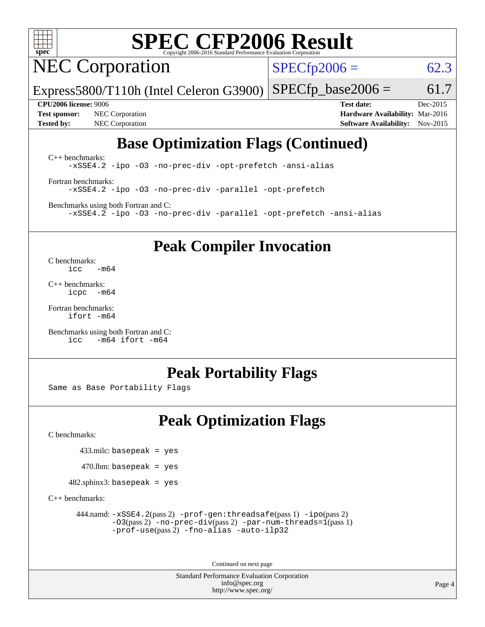

# **[SPEC CFP2006 Result](http://www.spec.org/auto/cpu2006/Docs/result-fields.html#SPECCFP2006Result)**

NEC Corporation

 $SPECTp2006 = 62.3$ 

Express5800/T110h (Intel Celeron G3900)  $SPECTp\_base2006 = 61.7$ 

**[Test sponsor:](http://www.spec.org/auto/cpu2006/Docs/result-fields.html#Testsponsor)** NEC Corporation **[Hardware Availability:](http://www.spec.org/auto/cpu2006/Docs/result-fields.html#HardwareAvailability)** Mar-2016 **[Tested by:](http://www.spec.org/auto/cpu2006/Docs/result-fields.html#Testedby)** NEC Corporation **[Software Availability:](http://www.spec.org/auto/cpu2006/Docs/result-fields.html#SoftwareAvailability)** Nov-2015

**[CPU2006 license:](http://www.spec.org/auto/cpu2006/Docs/result-fields.html#CPU2006license)** 9006 **[Test date:](http://www.spec.org/auto/cpu2006/Docs/result-fields.html#Testdate)** Dec-2015

### **[Base Optimization Flags \(Continued\)](http://www.spec.org/auto/cpu2006/Docs/result-fields.html#BaseOptimizationFlags)**

[C++ benchmarks:](http://www.spec.org/auto/cpu2006/Docs/result-fields.html#CXXbenchmarks) [-xSSE4.2](http://www.spec.org/cpu2006/results/res2016q1/cpu2006-20160125-38836.flags.html#user_CXXbase_f-xSSE42_f91528193cf0b216347adb8b939d4107) [-ipo](http://www.spec.org/cpu2006/results/res2016q1/cpu2006-20160125-38836.flags.html#user_CXXbase_f-ipo) [-O3](http://www.spec.org/cpu2006/results/res2016q1/cpu2006-20160125-38836.flags.html#user_CXXbase_f-O3) [-no-prec-div](http://www.spec.org/cpu2006/results/res2016q1/cpu2006-20160125-38836.flags.html#user_CXXbase_f-no-prec-div) [-opt-prefetch](http://www.spec.org/cpu2006/results/res2016q1/cpu2006-20160125-38836.flags.html#user_CXXbase_f-opt-prefetch) [-ansi-alias](http://www.spec.org/cpu2006/results/res2016q1/cpu2006-20160125-38836.flags.html#user_CXXbase_f-ansi-alias)

[Fortran benchmarks](http://www.spec.org/auto/cpu2006/Docs/result-fields.html#Fortranbenchmarks): [-xSSE4.2](http://www.spec.org/cpu2006/results/res2016q1/cpu2006-20160125-38836.flags.html#user_FCbase_f-xSSE42_f91528193cf0b216347adb8b939d4107) [-ipo](http://www.spec.org/cpu2006/results/res2016q1/cpu2006-20160125-38836.flags.html#user_FCbase_f-ipo) [-O3](http://www.spec.org/cpu2006/results/res2016q1/cpu2006-20160125-38836.flags.html#user_FCbase_f-O3) [-no-prec-div](http://www.spec.org/cpu2006/results/res2016q1/cpu2006-20160125-38836.flags.html#user_FCbase_f-no-prec-div) [-parallel](http://www.spec.org/cpu2006/results/res2016q1/cpu2006-20160125-38836.flags.html#user_FCbase_f-parallel) [-opt-prefetch](http://www.spec.org/cpu2006/results/res2016q1/cpu2006-20160125-38836.flags.html#user_FCbase_f-opt-prefetch)

[Benchmarks using both Fortran and C](http://www.spec.org/auto/cpu2006/Docs/result-fields.html#BenchmarksusingbothFortranandC): [-xSSE4.2](http://www.spec.org/cpu2006/results/res2016q1/cpu2006-20160125-38836.flags.html#user_CC_FCbase_f-xSSE42_f91528193cf0b216347adb8b939d4107) [-ipo](http://www.spec.org/cpu2006/results/res2016q1/cpu2006-20160125-38836.flags.html#user_CC_FCbase_f-ipo) [-O3](http://www.spec.org/cpu2006/results/res2016q1/cpu2006-20160125-38836.flags.html#user_CC_FCbase_f-O3) [-no-prec-div](http://www.spec.org/cpu2006/results/res2016q1/cpu2006-20160125-38836.flags.html#user_CC_FCbase_f-no-prec-div) [-parallel](http://www.spec.org/cpu2006/results/res2016q1/cpu2006-20160125-38836.flags.html#user_CC_FCbase_f-parallel) [-opt-prefetch](http://www.spec.org/cpu2006/results/res2016q1/cpu2006-20160125-38836.flags.html#user_CC_FCbase_f-opt-prefetch) [-ansi-alias](http://www.spec.org/cpu2006/results/res2016q1/cpu2006-20160125-38836.flags.html#user_CC_FCbase_f-ansi-alias)

**[Peak Compiler Invocation](http://www.spec.org/auto/cpu2006/Docs/result-fields.html#PeakCompilerInvocation)**

[C benchmarks](http://www.spec.org/auto/cpu2006/Docs/result-fields.html#Cbenchmarks):  $\text{icc}$   $-\text{m64}$ 

[C++ benchmarks:](http://www.spec.org/auto/cpu2006/Docs/result-fields.html#CXXbenchmarks) [icpc -m64](http://www.spec.org/cpu2006/results/res2016q1/cpu2006-20160125-38836.flags.html#user_CXXpeak_intel_icpc_64bit_bedb90c1146cab66620883ef4f41a67e)

[Fortran benchmarks](http://www.spec.org/auto/cpu2006/Docs/result-fields.html#Fortranbenchmarks): [ifort -m64](http://www.spec.org/cpu2006/results/res2016q1/cpu2006-20160125-38836.flags.html#user_FCpeak_intel_ifort_64bit_ee9d0fb25645d0210d97eb0527dcc06e)

[Benchmarks using both Fortran and C](http://www.spec.org/auto/cpu2006/Docs/result-fields.html#BenchmarksusingbothFortranandC): [icc -m64](http://www.spec.org/cpu2006/results/res2016q1/cpu2006-20160125-38836.flags.html#user_CC_FCpeak_intel_icc_64bit_0b7121f5ab7cfabee23d88897260401c) [ifort -m64](http://www.spec.org/cpu2006/results/res2016q1/cpu2006-20160125-38836.flags.html#user_CC_FCpeak_intel_ifort_64bit_ee9d0fb25645d0210d97eb0527dcc06e)

### **[Peak Portability Flags](http://www.spec.org/auto/cpu2006/Docs/result-fields.html#PeakPortabilityFlags)**

Same as Base Portability Flags

### **[Peak Optimization Flags](http://www.spec.org/auto/cpu2006/Docs/result-fields.html#PeakOptimizationFlags)**

[C benchmarks](http://www.spec.org/auto/cpu2006/Docs/result-fields.html#Cbenchmarks):

433.milc: basepeak = yes

 $470$ .lbm: basepeak = yes

482.sphinx3: basepeak = yes

[C++ benchmarks:](http://www.spec.org/auto/cpu2006/Docs/result-fields.html#CXXbenchmarks)

 444.namd: [-xSSE4.2](http://www.spec.org/cpu2006/results/res2016q1/cpu2006-20160125-38836.flags.html#user_peakPASS2_CXXFLAGSPASS2_LDFLAGS444_namd_f-xSSE42_f91528193cf0b216347adb8b939d4107)(pass 2) [-prof-gen:threadsafe](http://www.spec.org/cpu2006/results/res2016q1/cpu2006-20160125-38836.flags.html#user_peakPASS1_CXXFLAGSPASS1_LDFLAGS444_namd_prof_gen_21a26eb79f378b550acd7bec9fe4467a)(pass 1) [-ipo](http://www.spec.org/cpu2006/results/res2016q1/cpu2006-20160125-38836.flags.html#user_peakPASS2_CXXFLAGSPASS2_LDFLAGS444_namd_f-ipo)(pass 2) [-O3](http://www.spec.org/cpu2006/results/res2016q1/cpu2006-20160125-38836.flags.html#user_peakPASS2_CXXFLAGSPASS2_LDFLAGS444_namd_f-O3)(pass 2) [-no-prec-div](http://www.spec.org/cpu2006/results/res2016q1/cpu2006-20160125-38836.flags.html#user_peakPASS2_CXXFLAGSPASS2_LDFLAGS444_namd_f-no-prec-div)(pass 2) [-par-num-threads=1](http://www.spec.org/cpu2006/results/res2016q1/cpu2006-20160125-38836.flags.html#user_peakPASS1_CXXFLAGSPASS1_LDFLAGS444_namd_par_num_threads_786a6ff141b4e9e90432e998842df6c2)(pass 1) [-prof-use](http://www.spec.org/cpu2006/results/res2016q1/cpu2006-20160125-38836.flags.html#user_peakPASS2_CXXFLAGSPASS2_LDFLAGS444_namd_prof_use_bccf7792157ff70d64e32fe3e1250b55)(pass 2) [-fno-alias](http://www.spec.org/cpu2006/results/res2016q1/cpu2006-20160125-38836.flags.html#user_peakCXXOPTIMIZEOPTIMIZE444_namd_f-no-alias_694e77f6c5a51e658e82ccff53a9e63a) [-auto-ilp32](http://www.spec.org/cpu2006/results/res2016q1/cpu2006-20160125-38836.flags.html#user_peakCXXOPTIMIZE444_namd_f-auto-ilp32)

Continued on next page

Standard Performance Evaluation Corporation [info@spec.org](mailto:info@spec.org) <http://www.spec.org/>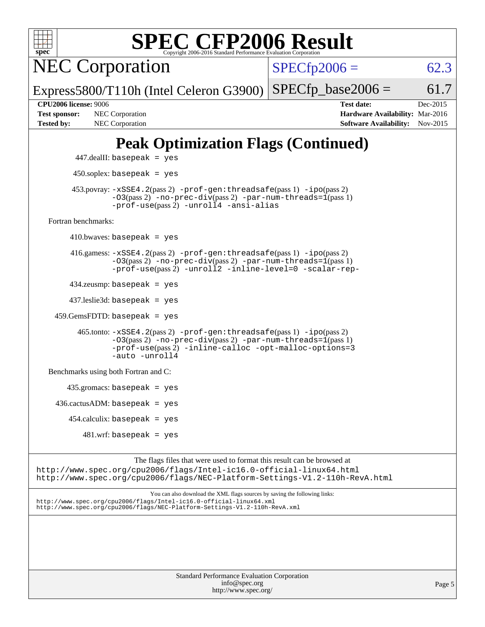| <b>SPEC CFP2006 Result</b><br>$spec^*$<br>Copyright 2006-2016 Standard Performance Evaluation Corporation                                                                                                                        |                                                                                                               |
|----------------------------------------------------------------------------------------------------------------------------------------------------------------------------------------------------------------------------------|---------------------------------------------------------------------------------------------------------------|
| <b>NEC Corporation</b>                                                                                                                                                                                                           | $SPECfp2006 =$<br>62.3                                                                                        |
| Express5800/T110h (Intel Celeron G3900)                                                                                                                                                                                          | $SPECfp\_base2006 =$<br>61.7                                                                                  |
| <b>CPU2006 license: 9006</b><br><b>Test sponsor:</b><br>NEC Corporation<br><b>Tested by:</b><br>NEC Corporation                                                                                                                  | <b>Test date:</b><br>Dec-2015<br>Hardware Availability: Mar-2016<br><b>Software Availability:</b><br>Nov-2015 |
| <b>Peak Optimization Flags (Continued)</b>                                                                                                                                                                                       |                                                                                                               |
| $447$ .dealII: basepeak = yes                                                                                                                                                                                                    |                                                                                                               |
| $450$ .soplex: basepeak = yes                                                                                                                                                                                                    |                                                                                                               |
| 453.povray: -xSSE4.2(pass 2) -prof-gen:threadsafe(pass 1) -ipo(pass 2)<br>$-03(pass 2)$ -no-prec-div(pass 2) -par-num-threads=1(pass 1)<br>-prof-use(pass 2) -unroll4 -ansi-alias                                                |                                                                                                               |
| Fortran benchmarks:                                                                                                                                                                                                              |                                                                                                               |
| $410.bwaves: basepeak = yes$                                                                                                                                                                                                     |                                                                                                               |
| $416$ .gamess: $-xSSE4$ . $2(pass 2)$ -prof-gen: threadsafe(pass 1) -ipo(pass 2)<br>$-03(pass 2)$ -no-prec-div(pass 2) -par-num-threads=1(pass 1)<br>-prof-use(pass 2) -unroll2 -inline-level=0 -scalar-rep-                     |                                                                                                               |
| $434$ .zeusmp: basepeak = yes                                                                                                                                                                                                    |                                                                                                               |
| $437$ .leslie3d: basepeak = yes                                                                                                                                                                                                  |                                                                                                               |
| $459.GemsFDTD: basepeak = yes$                                                                                                                                                                                                   |                                                                                                               |
| $465$ .tonto: $-xSSE4$ . $2(pass 2)$ -prof-gen: threadsafe(pass 1) -ipo(pass 2)<br>-03(pass 2) -no-prec-div(pass 2) -par-num-threads=1(pass 1)<br>-prof-use(pass 2) -inline-calloc -opt-malloc-options=3<br>$-$ auto $-$ unroll4 |                                                                                                               |
| Benchmarks using both Fortran and C:                                                                                                                                                                                             |                                                                                                               |
| $435$ .gromacs: basepeak = yes                                                                                                                                                                                                   |                                                                                                               |
| $436.cactusADM:basepeak = yes$                                                                                                                                                                                                   |                                                                                                               |
| $454$ .calculix: basepeak = yes                                                                                                                                                                                                  |                                                                                                               |
| $481.wrf$ : basepeak = yes                                                                                                                                                                                                       |                                                                                                               |
| The flags files that were used to format this result can be browsed at<br>http://www.spec.org/cpu2006/flags/Intel-ic16.0-official-linux64.html<br>http://www.spec.org/cpu2006/flags/NEC-Platform-Settings-V1.2-110h-RevA.html    |                                                                                                               |
| You can also download the XML flags sources by saving the following links:<br>http://www.spec.org/cpu2006/flags/Intel-icl6.0-official-linux64.xml<br>http://www.spec.org/cpu2006/flags/NEC-Platform-Settings-V1.2-110h-RevA.xml  |                                                                                                               |
|                                                                                                                                                                                                                                  |                                                                                                               |

| <b>Standard Performance Evaluation Corporation</b> |
|----------------------------------------------------|
| info@spec.org                                      |
| http://www.spec.org/                               |